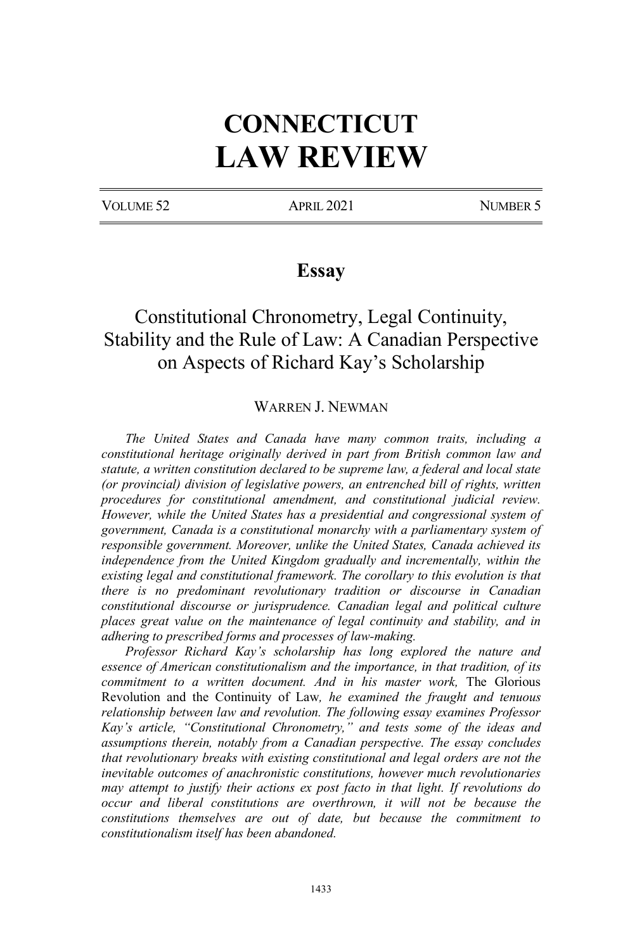# **CONNECTICUT LAW REVIEW**

VOLUME 52 APRIL 2021 APRIL 2021

### **Essay**

# Constitutional Chronometry, Legal Continuity, Stability and the Rule of Law: A Canadian Perspective on Aspects of Richard Kay's Scholarship

#### WARREN J. NEWMAN

*The United States and Canada have many common traits, including a constitutional heritage originally derived in part from British common law and statute, a written constitution declared to be supreme law, a federal and local state (or provincial) division of legislative powers, an entrenched bill of rights, written procedures for constitutional amendment, and constitutional judicial review. However, while the United States has a presidential and congressional system of government, Canada is a constitutional monarchy with a parliamentary system of responsible government. Moreover, unlike the United States, Canada achieved its independence from the United Kingdom gradually and incrementally, within the existing legal and constitutional framework. The corollary to this evolution is that there is no predominant revolutionary tradition or discourse in Canadian constitutional discourse or jurisprudence. Canadian legal and political culture places great value on the maintenance of legal continuity and stability, and in adhering to prescribed forms and processes of law-making.*

*Professor Richard Kay's scholarship has long explored the nature and essence of American constitutionalism and the importance, in that tradition, of its commitment to a written document. And in his master work,* The Glorious Revolution and the Continuity of Law*, he examined the fraught and tenuous relationship between law and revolution. The following essay examines Professor Kay's article, "Constitutional Chronometry," and tests some of the ideas and assumptions therein, notably from a Canadian perspective. The essay concludes that revolutionary breaks with existing constitutional and legal orders are not the inevitable outcomes of anachronistic constitutions, however much revolutionaries may attempt to justify their actions ex post facto in that light. If revolutions do occur and liberal constitutions are overthrown, it will not be because the constitutions themselves are out of date, but because the commitment to constitutionalism itself has been abandoned.*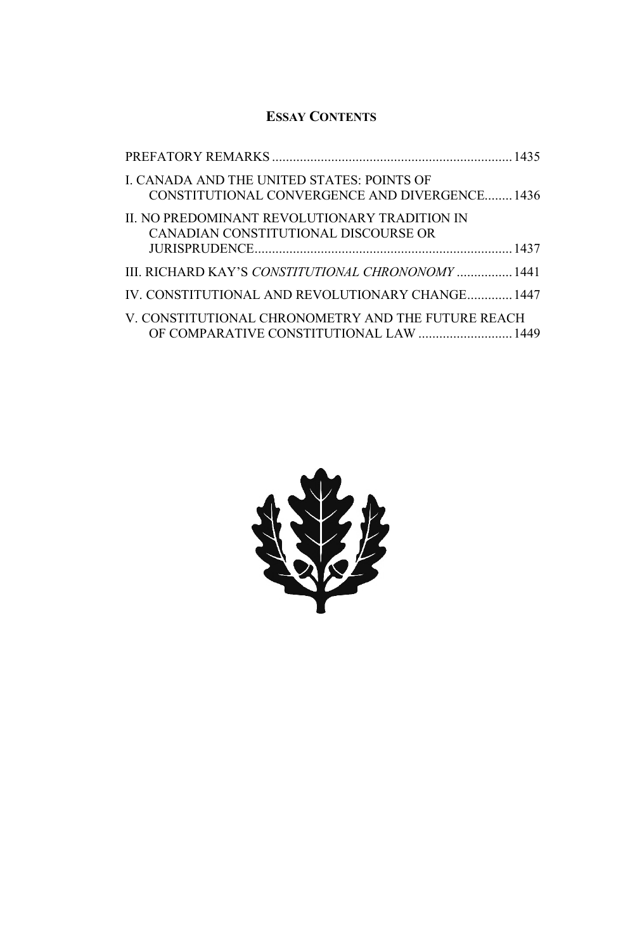### **ESSAY CONTENTS**

| I. CANADA AND THE UNITED STATES: POINTS OF<br>CONSTITUTIONAL CONVERGENCE AND DIVERGENCE1436   |  |
|-----------------------------------------------------------------------------------------------|--|
| II. NO PREDOMINANT REVOLUTIONARY TRADITION IN<br>CANADIAN CONSTITUTIONAL DISCOURSE OR         |  |
| <b>III. RICHARD KAY'S CONSTITUTIONAL CHRONONOMY</b> 1441                                      |  |
| IV. CONSTITUTIONAL AND REVOLUTIONARY CHANGE 1447                                              |  |
| V. CONSTITUTIONAL CHRONOMETRY AND THE FUTURE REACH<br>OF COMPARATIVE CONSTITUTIONAL LAW  1449 |  |

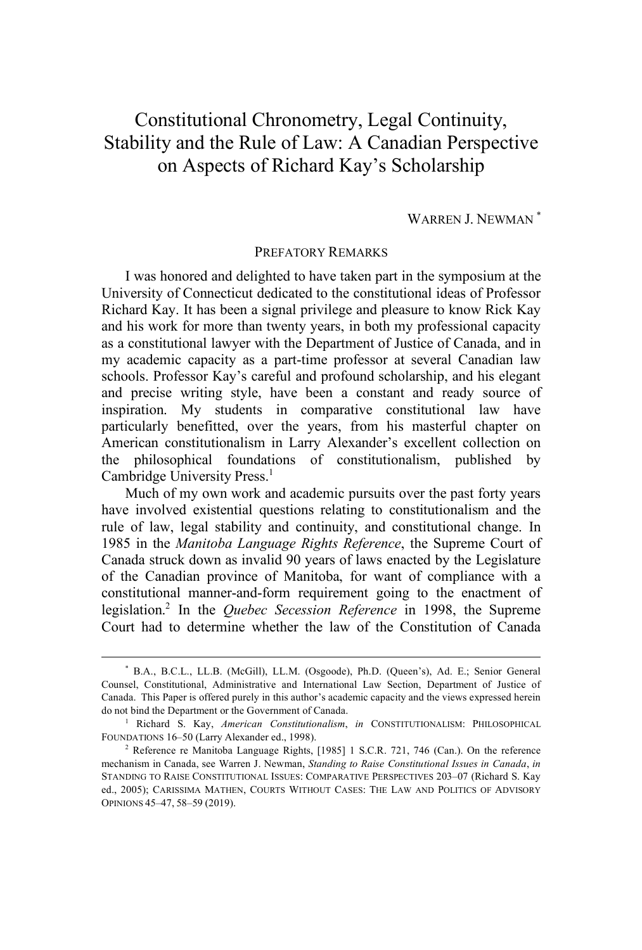# Constitutional Chronometry, Legal Continuity, Stability and the Rule of Law: A Canadian Perspective on Aspects of Richard Kay's Scholarship

#### WARREN J. NEWMAN<sup>\*</sup>

#### PREFATORY REMARKS

I was honored and delighted to have taken part in the symposium at the University of Connecticut dedicated to the constitutional ideas of Professor Richard Kay. It has been a signal privilege and pleasure to know Rick Kay and his work for more than twenty years, in both my professional capacity as a constitutional lawyer with the Department of Justice of Canada, and in my academic capacity as a part-time professor at several Canadian law schools. Professor Kay's careful and profound scholarship, and his elegant and precise writing style, have been a constant and ready source of inspiration. My students in comparative constitutional law have particularly benefitted, over the years, from his masterful chapter on American constitutionalism in Larry Alexander's excellent collection on the philosophical foundations of constitutionalism, published by Cambridge University Press.<sup>1</sup>

Much of my own work and academic pursuits over the past forty years have involved existential questions relating to constitutionalism and the rule of law, legal stability and continuity, and constitutional change. In 1985 in the *Manitoba Language Rights Reference*, the Supreme Court of Canada struck down as invalid 90 years of laws enacted by the Legislature of the Canadian province of Manitoba, for want of compliance with a constitutional manner-and-form requirement going to the enactment of legislation.2 In the *Quebec Secession Reference* in 1998, the Supreme Court had to determine whether the law of the Constitution of Canada

 <sup>\*</sup> B.A., B.C.L., LL.B. (McGill), LL.M. (Osgoode), Ph.D. (Queen's), Ad. E.; Senior General Counsel, Constitutional, Administrative and International Law Section, Department of Justice of Canada. This Paper is offered purely in this author's academic capacity and the views expressed herein do not bind the Department or the Government of Canada.

<sup>1</sup> Richard S. Kay, *American Constitutionalism*, *in* CONSTITUTIONALISM: PHILOSOPHICAL FOUNDATIONS 16–50 (Larry Alexander ed., 1998).

<sup>2</sup> Reference re Manitoba Language Rights, [1985] 1 S.C.R. 721, 746 (Can.). On the reference mechanism in Canada, see Warren J. Newman, *Standing to Raise Constitutional Issues in Canada*, *in* STANDING TO RAISE CONSTITUTIONAL ISSUES: COMPARATIVE PERSPECTIVES 203–07 (Richard S. Kay ed., 2005); CARISSIMA MATHEN, COURTS WITHOUT CASES: THE LAW AND POLITICS OF ADVISORY OPINIONS 45–47, 58–59 (2019).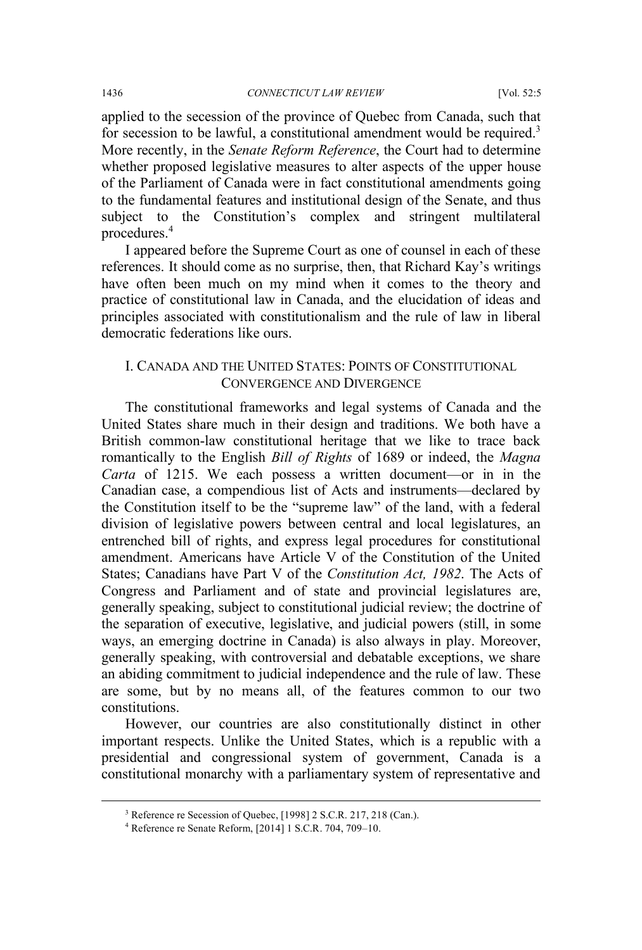applied to the secession of the province of Quebec from Canada, such that for secession to be lawful, a constitutional amendment would be required.<sup>3</sup> More recently, in the *Senate Reform Reference*, the Court had to determine whether proposed legislative measures to alter aspects of the upper house of the Parliament of Canada were in fact constitutional amendments going to the fundamental features and institutional design of the Senate, and thus subject to the Constitution's complex and stringent multilateral procedures.<sup>4</sup>

I appeared before the Supreme Court as one of counsel in each of these references. It should come as no surprise, then, that Richard Kay's writings have often been much on my mind when it comes to the theory and practice of constitutional law in Canada, and the elucidation of ideas and principles associated with constitutionalism and the rule of law in liberal democratic federations like ours.

#### I. CANADA AND THE UNITED STATES: POINTS OF CONSTITUTIONAL CONVERGENCE AND DIVERGENCE

The constitutional frameworks and legal systems of Canada and the United States share much in their design and traditions. We both have a British common-law constitutional heritage that we like to trace back romantically to the English *Bill of Rights* of 1689 or indeed, the *Magna Carta* of 1215. We each possess a written document—or in in the Canadian case, a compendious list of Acts and instruments—declared by the Constitution itself to be the "supreme law" of the land, with a federal division of legislative powers between central and local legislatures, an entrenched bill of rights, and express legal procedures for constitutional amendment. Americans have Article V of the Constitution of the United States; Canadians have Part V of the *Constitution Act, 1982*. The Acts of Congress and Parliament and of state and provincial legislatures are, generally speaking, subject to constitutional judicial review; the doctrine of the separation of executive, legislative, and judicial powers (still, in some ways, an emerging doctrine in Canada) is also always in play. Moreover, generally speaking, with controversial and debatable exceptions, we share an abiding commitment to judicial independence and the rule of law. These are some, but by no means all, of the features common to our two constitutions.

However, our countries are also constitutionally distinct in other important respects. Unlike the United States, which is a republic with a presidential and congressional system of government, Canada is a constitutional monarchy with a parliamentary system of representative and

 <sup>3</sup> Reference re Secession of Quebec, [1998] 2 S.C.R. 217, 218 (Can.).

<sup>4</sup> Reference re Senate Reform, [2014] 1 S.C.R. 704, 709–10.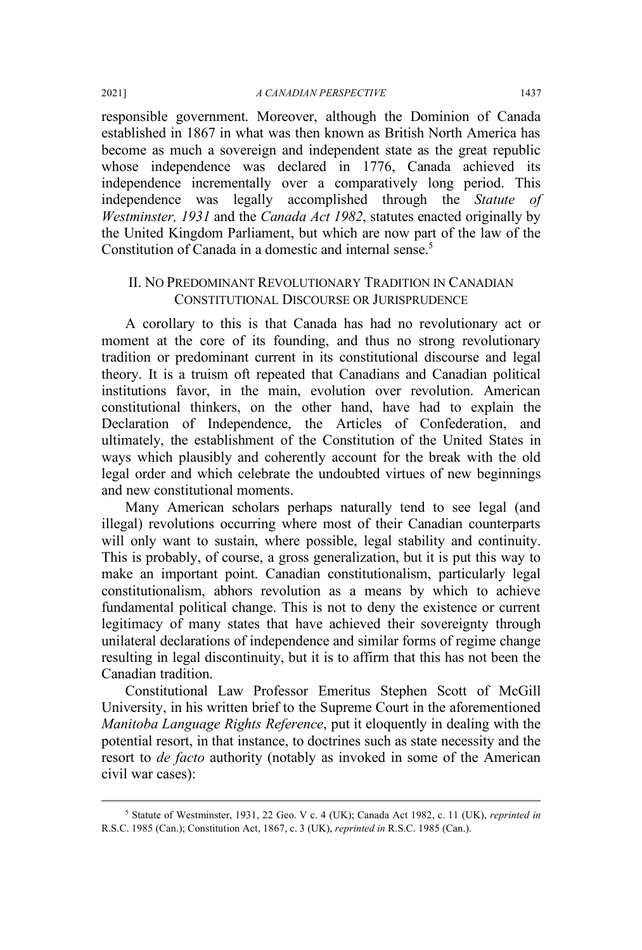responsible government. Moreover, although the Dominion of Canada established in 1867 in what was then known as British North America has become as much a sovereign and independent state as the great republic whose independence was declared in 1776, Canada achieved its independence incrementally over a comparatively long period. This independence was legally accomplished through the *Statute of Westminster, 1931* and the *Canada Act 1982*, statutes enacted originally by the United Kingdom Parliament, but which are now part of the law of the Constitution of Canada in a domestic and internal sense.<sup>5</sup>

#### II. NO PREDOMINANT REVOLUTIONARY TRADITION IN CANADIAN CONSTITUTIONAL DISCOURSE OR JURISPRUDENCE

A corollary to this is that Canada has had no revolutionary act or moment at the core of its founding, and thus no strong revolutionary tradition or predominant current in its constitutional discourse and legal theory. It is a truism oft repeated that Canadians and Canadian political institutions favor, in the main, evolution over revolution. American constitutional thinkers, on the other hand, have had to explain the Declaration of Independence, the Articles of Confederation, and ultimately, the establishment of the Constitution of the United States in ways which plausibly and coherently account for the break with the old legal order and which celebrate the undoubted virtues of new beginnings and new constitutional moments.

Many American scholars perhaps naturally tend to see legal (and illegal) revolutions occurring where most of their Canadian counterparts will only want to sustain, where possible, legal stability and continuity. This is probably, of course, a gross generalization, but it is put this way to make an important point. Canadian constitutionalism, particularly legal constitutionalism, abhors revolution as a means by which to achieve fundamental political change. This is not to deny the existence or current legitimacy of many states that have achieved their sovereignty through unilateral declarations of independence and similar forms of regime change resulting in legal discontinuity, but it is to affirm that this has not been the Canadian tradition.

Constitutional Law Professor Emeritus Stephen Scott of McGill University, in his written brief to the Supreme Court in the aforementioned *Manitoba Language Rights Reference*, put it eloquently in dealing with the potential resort, in that instance, to doctrines such as state necessity and the resort to *de facto* authority (notably as invoked in some of the American civil war cases):

 <sup>5</sup> Statute of Westminster, 1931, 22 Geo. V c. 4 (UK); Canada Act 1982, c. 11 (UK), *reprinted in* R.S.C. 1985 (Can.); Constitution Act, 1867, c. 3 (UK), *reprinted in* R.S.C. 1985 (Can.).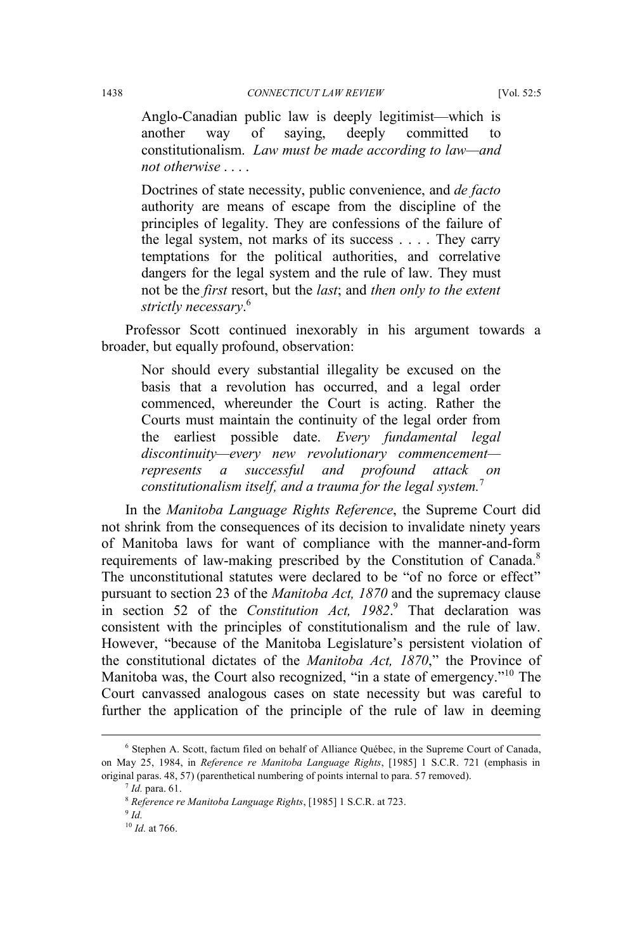Anglo-Canadian public law is deeply legitimist—which is another way of saying, deeply committed to constitutionalism. *Law must be made according to law—and not otherwise* . . . .

Doctrines of state necessity, public convenience, and *de facto* authority are means of escape from the discipline of the principles of legality. They are confessions of the failure of the legal system, not marks of its success . . . . They carry temptations for the political authorities, and correlative dangers for the legal system and the rule of law. They must not be the *first* resort, but the *last*; and *then only to the extent strictly necessary*. 6

Professor Scott continued inexorably in his argument towards a broader, but equally profound, observation:

Nor should every substantial illegality be excused on the basis that a revolution has occurred, and a legal order commenced, whereunder the Court is acting. Rather the Courts must maintain the continuity of the legal order from the earliest possible date. *Every fundamental legal discontinuity—every new revolutionary commencement represents a successful and profound attack on constitutionalism itself, and a trauma for the legal system.*<sup>7</sup>

In the *Manitoba Language Rights Reference*, the Supreme Court did not shrink from the consequences of its decision to invalidate ninety years of Manitoba laws for want of compliance with the manner-and-form requirements of law-making prescribed by the Constitution of Canada.<sup>8</sup> The unconstitutional statutes were declared to be "of no force or effect" pursuant to section 23 of the *Manitoba Act, 1870* and the supremacy clause in section 52 of the *Constitution Act, 1982*. <sup>9</sup> That declaration was consistent with the principles of constitutionalism and the rule of law. However, "because of the Manitoba Legislature's persistent violation of the constitutional dictates of the *Manitoba Act, 1870*," the Province of Manitoba was, the Court also recognized, "in a state of emergency."<sup>10</sup> The Court canvassed analogous cases on state necessity but was careful to further the application of the principle of the rule of law in deeming

<sup>9</sup> *Id.*

 <sup>6</sup> Stephen A. Scott, factum filed on behalf of Alliance Québec, in the Supreme Court of Canada, on May 25, 1984, in *Reference re Manitoba Language Rights*, [1985] 1 S.C.R. 721 (emphasis in original paras. 48, 57) (parenthetical numbering of points internal to para. 57 removed).

<sup>7</sup> *Id.* para. 61.

<sup>8</sup> *Reference re Manitoba Language Rights*, [1985] 1 S.C.R. at 723.

<sup>10</sup> *Id.* at 766.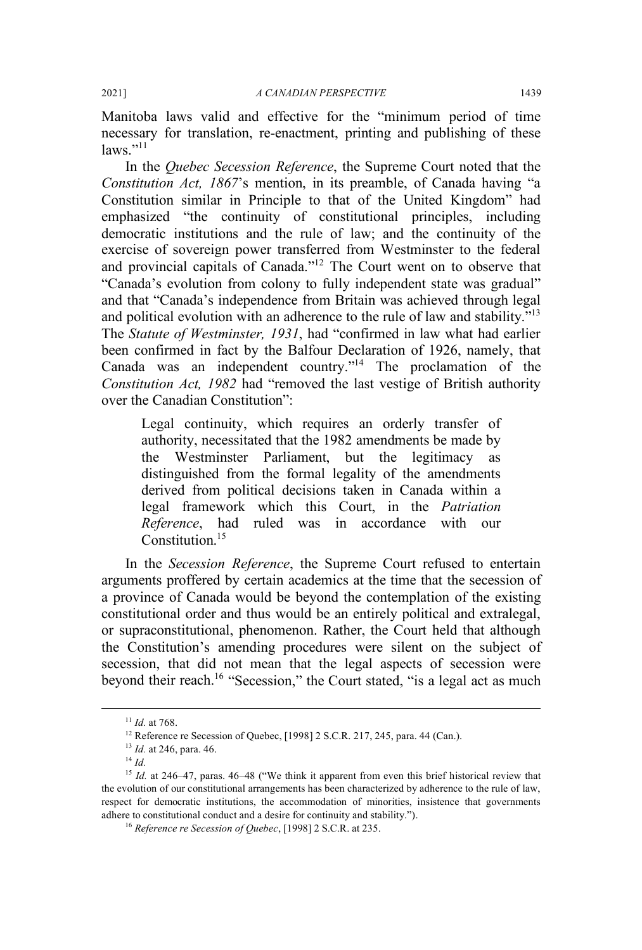Manitoba laws valid and effective for the "minimum period of time necessary for translation, re-enactment, printing and publishing of these  $laws$ <sup>"11</sup>

In the *Quebec Secession Reference*, the Supreme Court noted that the *Constitution Act, 1867*'s mention, in its preamble, of Canada having "a Constitution similar in Principle to that of the United Kingdom" had emphasized "the continuity of constitutional principles, including democratic institutions and the rule of law; and the continuity of the exercise of sovereign power transferred from Westminster to the federal and provincial capitals of Canada."<sup>12</sup> The Court went on to observe that "Canada's evolution from colony to fully independent state was gradual" and that "Canada's independence from Britain was achieved through legal and political evolution with an adherence to the rule of law and stability."<sup>13</sup> The *Statute of Westminster, 1931*, had "confirmed in law what had earlier been confirmed in fact by the Balfour Declaration of 1926, namely, that Canada was an independent country."14 The proclamation of the *Constitution Act, 1982* had "removed the last vestige of British authority over the Canadian Constitution":

Legal continuity, which requires an orderly transfer of authority, necessitated that the 1982 amendments be made by the Westminster Parliament, but the legitimacy as distinguished from the formal legality of the amendments derived from political decisions taken in Canada within a legal framework which this Court, in the *Patriation Reference*, had ruled was in accordance with our Constitution.<sup>15</sup>

In the *Secession Reference*, the Supreme Court refused to entertain arguments proffered by certain academics at the time that the secession of a province of Canada would be beyond the contemplation of the existing constitutional order and thus would be an entirely political and extralegal, or supraconstitutional, phenomenon. Rather, the Court held that although the Constitution's amending procedures were silent on the subject of secession, that did not mean that the legal aspects of secession were beyond their reach.<sup>16</sup> "Secession," the Court stated, "is a legal act as much

 $11$  *Id.* at 768.

<sup>&</sup>lt;sup>12</sup> Reference re Secession of Quebec, [1998] 2 S.C.R. 217, 245, para. 44 (Can.).

<sup>13</sup> *Id.* at 246, para. 46. 14 *Id.* 

<sup>&</sup>lt;sup>15</sup> *Id.* at 246–47, paras. 46–48 ("We think it apparent from even this brief historical review that the evolution of our constitutional arrangements has been characterized by adherence to the rule of law, respect for democratic institutions, the accommodation of minorities, insistence that governments adhere to constitutional conduct and a desire for continuity and stability.").

<sup>16</sup> *Reference re Secession of Quebec*, [1998] 2 S.C.R. at 235.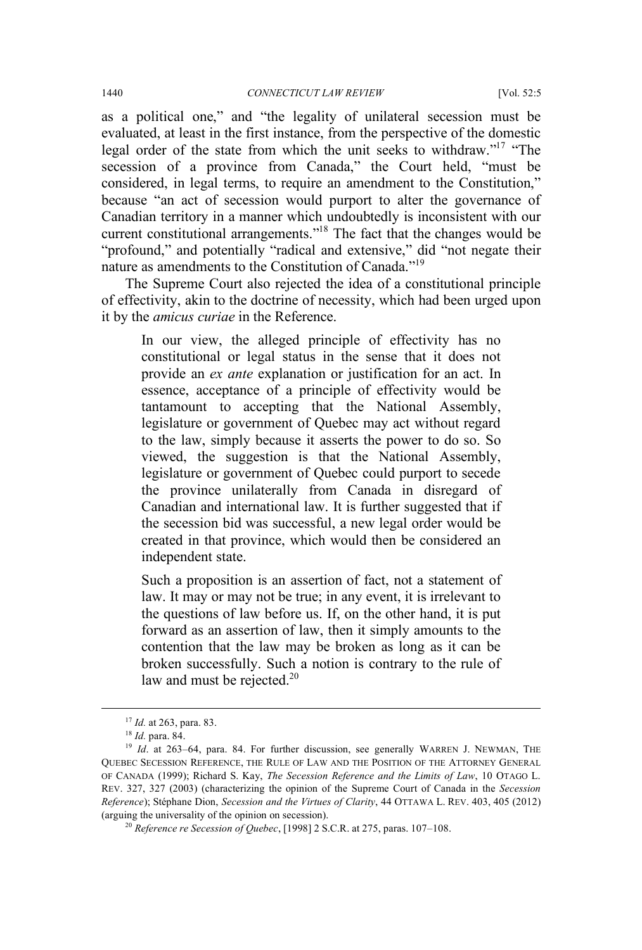as a political one," and "the legality of unilateral secession must be evaluated, at least in the first instance, from the perspective of the domestic legal order of the state from which the unit seeks to withdraw."17 "The secession of a province from Canada," the Court held, "must be considered, in legal terms, to require an amendment to the Constitution," because "an act of secession would purport to alter the governance of Canadian territory in a manner which undoubtedly is inconsistent with our current constitutional arrangements."18 The fact that the changes would be "profound," and potentially "radical and extensive," did "not negate their nature as amendments to the Constitution of Canada."19

The Supreme Court also rejected the idea of a constitutional principle of effectivity, akin to the doctrine of necessity, which had been urged upon it by the *amicus curiae* in the Reference.

In our view, the alleged principle of effectivity has no constitutional or legal status in the sense that it does not provide an *ex ante* explanation or justification for an act. In essence, acceptance of a principle of effectivity would be tantamount to accepting that the National Assembly, legislature or government of Quebec may act without regard to the law, simply because it asserts the power to do so. So viewed, the suggestion is that the National Assembly, legislature or government of Quebec could purport to secede the province unilaterally from Canada in disregard of Canadian and international law. It is further suggested that if the secession bid was successful, a new legal order would be created in that province, which would then be considered an independent state.

Such a proposition is an assertion of fact, not a statement of law. It may or may not be true; in any event, it is irrelevant to the questions of law before us. If, on the other hand, it is put forward as an assertion of law, then it simply amounts to the contention that the law may be broken as long as it can be broken successfully. Such a notion is contrary to the rule of law and must be rejected. $20$ 

 <sup>17</sup> *Id.* at 263, para. 83.

<sup>18</sup> *Id.* para. 84.

<sup>&</sup>lt;sup>19</sup> *Id.* at 263–64, para. 84. For further discussion, see generally WARREN J. NEWMAN, THE QUEBEC SECESSION REFERENCE, THE RULE OF LAW AND THE POSITION OF THE ATTORNEY GENERAL OF CANADA (1999); Richard S. Kay, *The Secession Reference and the Limits of Law*, 10 OTAGO L. REV. 327, 327 (2003) (characterizing the opinion of the Supreme Court of Canada in the *Secession Reference*); Stéphane Dion, *Secession and the Virtues of Clarity*, 44 OTTAWA L. REV. 403, 405 (2012) (arguing the universality of the opinion on secession). 20 *Reference re Secession of Quebec*, [1998] 2 S.C.R. at 275, paras. 107–108.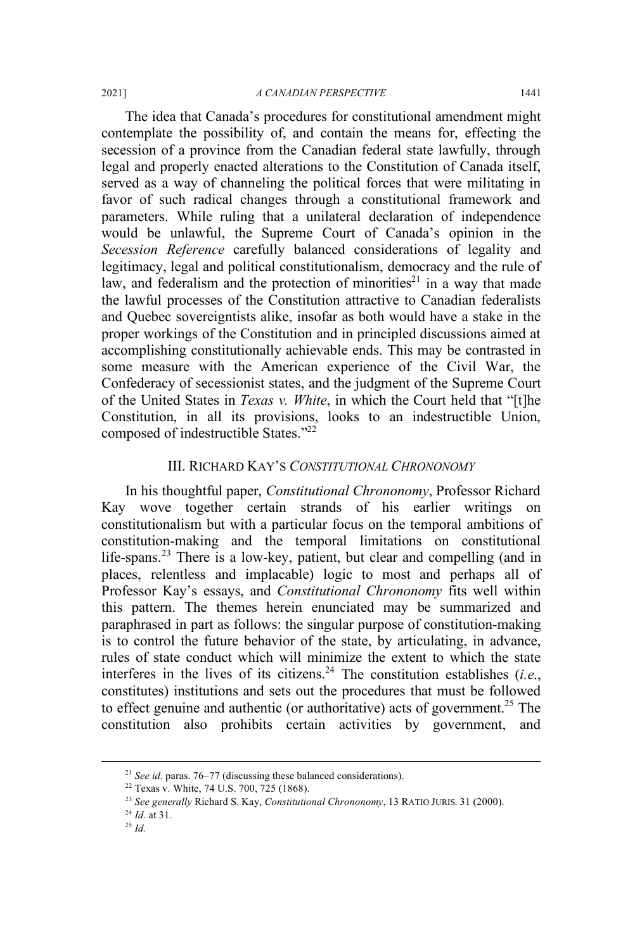The idea that Canada's procedures for constitutional amendment might contemplate the possibility of, and contain the means for, effecting the secession of a province from the Canadian federal state lawfully, through legal and properly enacted alterations to the Constitution of Canada itself, served as a way of channeling the political forces that were militating in favor of such radical changes through a constitutional framework and parameters. While ruling that a unilateral declaration of independence would be unlawful, the Supreme Court of Canada's opinion in the *Secession Reference* carefully balanced considerations of legality and legitimacy, legal and political constitutionalism, democracy and the rule of law, and federalism and the protection of minorities<sup>21</sup> in a way that made the lawful processes of the Constitution attractive to Canadian federalists and Quebec sovereigntists alike, insofar as both would have a stake in the proper workings of the Constitution and in principled discussions aimed at accomplishing constitutionally achievable ends. This may be contrasted in some measure with the American experience of the Civil War, the Confederacy of secessionist states, and the judgment of the Supreme Court of the United States in *Texas v. White*, in which the Court held that "[t]he Constitution, in all its provisions, looks to an indestructible Union, composed of indestructible States."22

#### III. RICHARD KAY'S *CONSTITUTIONAL CHRONONOMY*

In his thoughtful paper, *Constitutional Chrononomy*, Professor Richard Kay wove together certain strands of his earlier writings on constitutionalism but with a particular focus on the temporal ambitions of constitution-making and the temporal limitations on constitutional life-spans.<sup>23</sup> There is a low-key, patient, but clear and compelling (and in places, relentless and implacable) logic to most and perhaps all of Professor Kay's essays, and *Constitutional Chrononomy* fits well within this pattern. The themes herein enunciated may be summarized and paraphrased in part as follows: the singular purpose of constitution-making is to control the future behavior of the state, by articulating, in advance, rules of state conduct which will minimize the extent to which the state interferes in the lives of its citizens.<sup>24</sup> The constitution establishes (*i.e.*, constitutes) institutions and sets out the procedures that must be followed to effect genuine and authentic (or authoritative) acts of government.<sup>25</sup> The constitution also prohibits certain activities by government, and

 <sup>21</sup> *See id.* paras. 76–77 (discussing these balanced considerations).

<sup>22</sup> Texas v. White, 74 U.S. 700, 725 (1868).

<sup>23</sup> *See generally* Richard S. Kay, *Constitutional Chrononomy*, 13 RATIO JURIS. 31 (2000). 24 *Id.* at 31.

<sup>25</sup> *Id.*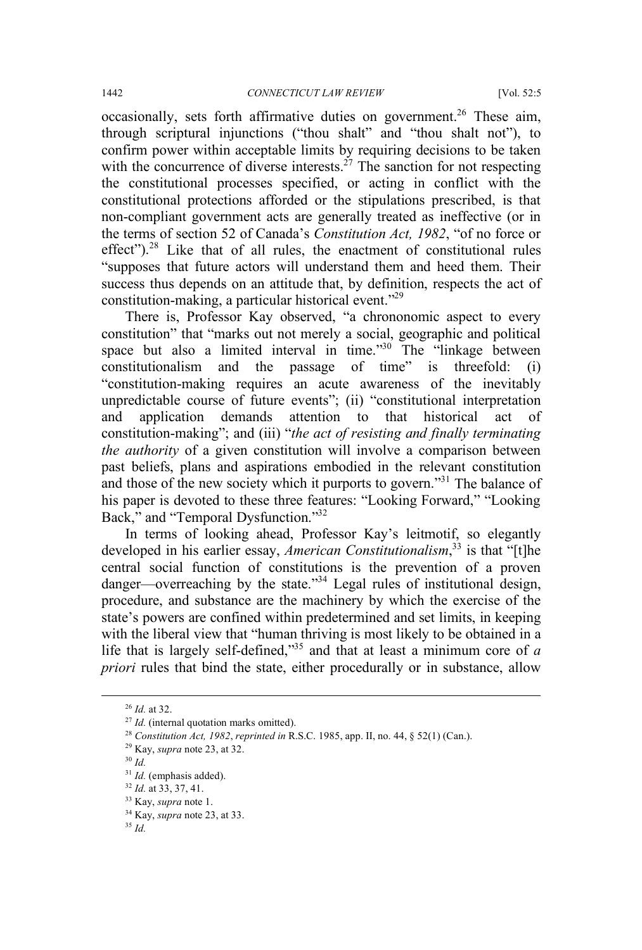occasionally, sets forth affirmative duties on government.<sup>26</sup> These aim, through scriptural injunctions ("thou shalt" and "thou shalt not"), to confirm power within acceptable limits by requiring decisions to be taken with the concurrence of diverse interests.<sup> $27$ </sup> The sanction for not respecting the constitutional processes specified, or acting in conflict with the constitutional protections afforded or the stipulations prescribed, is that non-compliant government acts are generally treated as ineffective (or in the terms of section 52 of Canada's *Constitution Act, 1982*, "of no force or effect"). $28$  Like that of all rules, the enactment of constitutional rules "supposes that future actors will understand them and heed them. Their success thus depends on an attitude that, by definition, respects the act of constitution-making, a particular historical event."29

There is, Professor Kay observed, "a chrononomic aspect to every constitution" that "marks out not merely a social, geographic and political space but also a limited interval in time."<sup>30</sup> The "linkage between" constitutionalism and the passage of time" is threefold: (i) "constitution-making requires an acute awareness of the inevitably unpredictable course of future events"; (ii) "constitutional interpretation and application demands attention to that historical act of constitution-making"; and (iii) "*the act of resisting and finally terminating the authority* of a given constitution will involve a comparison between past beliefs, plans and aspirations embodied in the relevant constitution and those of the new society which it purports to govern."<sup>31</sup> The balance of his paper is devoted to these three features: "Looking Forward," "Looking Back," and "Temporal Dysfunction."32

In terms of looking ahead, Professor Kay's leitmotif, so elegantly developed in his earlier essay, *American Constitutionalism*, <sup>33</sup> is that "[t]he central social function of constitutions is the prevention of a proven danger—overreaching by the state."<sup>34</sup> Legal rules of institutional design, procedure, and substance are the machinery by which the exercise of the state's powers are confined within predetermined and set limits, in keeping with the liberal view that "human thriving is most likely to be obtained in a life that is largely self-defined,"35 and that at least a minimum core of *a priori* rules that bind the state, either procedurally or in substance, allow

 <sup>26</sup> *Id.* at 32.

<sup>&</sup>lt;sup>27</sup> *Id.* (internal quotation marks omitted).

<sup>28</sup> *Constitution Act, 1982*, *reprinted in* R.S.C. 1985, app. II, no. 44, § 52(1) (Can.).

<sup>29</sup> Kay, *supra* note 23, at 32. 30 *Id.*

<sup>31</sup> *Id.* (emphasis added).

<sup>32</sup> *Id.* at 33, 37, 41.

<sup>33</sup> Kay, *supra* note 1.

<sup>34</sup> Kay, *supra* note 23, at 33.

<sup>35</sup> *Id.*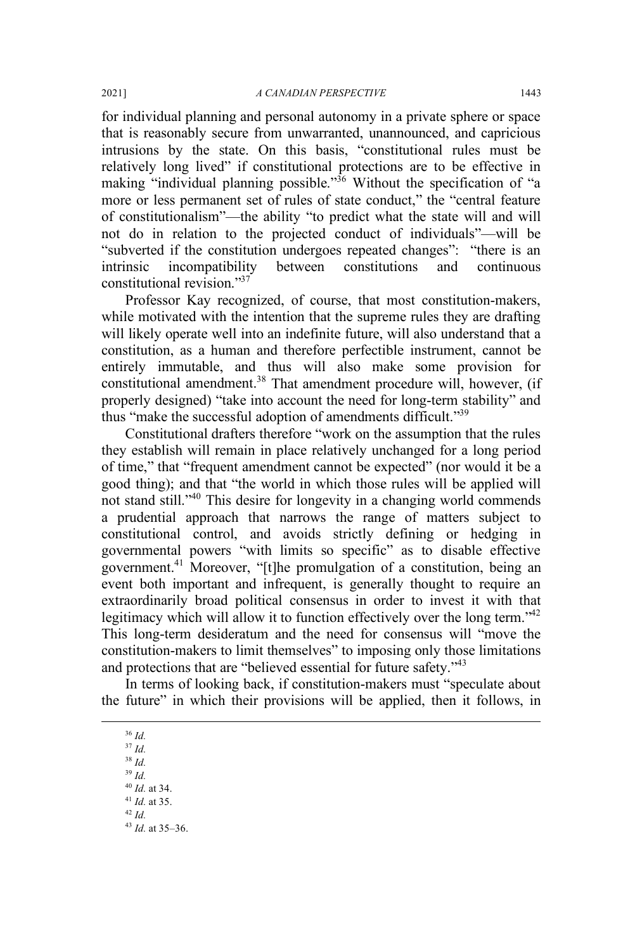for individual planning and personal autonomy in a private sphere or space that is reasonably secure from unwarranted, unannounced, and capricious intrusions by the state. On this basis, "constitutional rules must be relatively long lived" if constitutional protections are to be effective in making "individual planning possible."<sup>36</sup> Without the specification of "a more or less permanent set of rules of state conduct," the "central feature of constitutionalism"—the ability "to predict what the state will and will not do in relation to the projected conduct of individuals"—will be "subverted if the constitution undergoes repeated changes": "there is an intrinsic incompatibility between constitutions and continuous constitutional revision."37

Professor Kay recognized, of course, that most constitution-makers, while motivated with the intention that the supreme rules they are drafting will likely operate well into an indefinite future, will also understand that a constitution, as a human and therefore perfectible instrument, cannot be entirely immutable, and thus will also make some provision for constitutional amendment.<sup>38</sup> That amendment procedure will, however, (if properly designed) "take into account the need for long-term stability" and thus "make the successful adoption of amendments difficult."39

Constitutional drafters therefore "work on the assumption that the rules they establish will remain in place relatively unchanged for a long period of time," that "frequent amendment cannot be expected" (nor would it be a good thing); and that "the world in which those rules will be applied will not stand still."40 This desire for longevity in a changing world commends a prudential approach that narrows the range of matters subject to constitutional control, and avoids strictly defining or hedging in governmental powers "with limits so specific" as to disable effective government.41 Moreover, "[t]he promulgation of a constitution, being an event both important and infrequent, is generally thought to require an extraordinarily broad political consensus in order to invest it with that legitimacy which will allow it to function effectively over the long term."<sup>42</sup> This long-term desideratum and the need for consensus will "move the constitution-makers to limit themselves" to imposing only those limitations and protections that are "believed essential for future safety."<sup>43</sup>

In terms of looking back, if constitution-makers must "speculate about the future" in which their provisions will be applied, then it follows, in

 36 *Id.* <sup>37</sup> *Id.* 

<sup>38</sup> *Id.*

<sup>39</sup> *Id.*

<sup>40</sup> *Id.* at 34.

<sup>41</sup> *Id.* at 35.

<sup>42</sup> *Id.* <sup>43</sup> *Id.* at 35–36.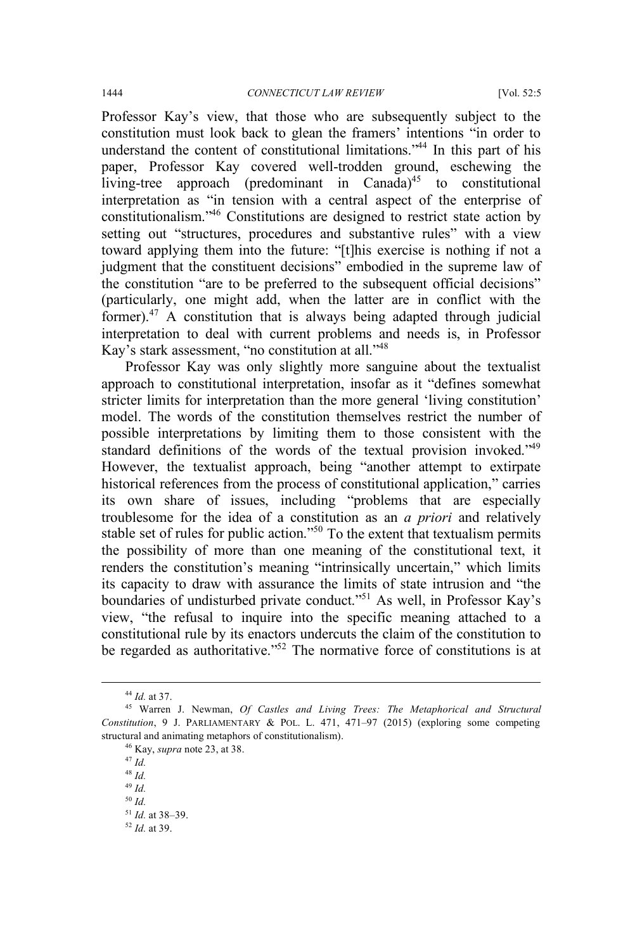Professor Kay's view, that those who are subsequently subject to the constitution must look back to glean the framers' intentions "in order to understand the content of constitutional limitations."44 In this part of his paper, Professor Kay covered well-trodden ground, eschewing the living-tree approach (predominant in Canada)<sup>45</sup> to constitutional interpretation as "in tension with a central aspect of the enterprise of constitutionalism." <sup>46</sup> Constitutions are designed to restrict state action by setting out "structures, procedures and substantive rules" with a view toward applying them into the future: "[t]his exercise is nothing if not a judgment that the constituent decisions" embodied in the supreme law of the constitution "are to be preferred to the subsequent official decisions" (particularly, one might add, when the latter are in conflict with the former). $47$  A constitution that is always being adapted through judicial interpretation to deal with current problems and needs is, in Professor Kay's stark assessment, "no constitution at all."<sup>48</sup>

Professor Kay was only slightly more sanguine about the textualist approach to constitutional interpretation, insofar as it "defines somewhat stricter limits for interpretation than the more general 'living constitution' model. The words of the constitution themselves restrict the number of possible interpretations by limiting them to those consistent with the standard definitions of the words of the textual provision invoked."<sup>49</sup> However, the textualist approach, being "another attempt to extirpate historical references from the process of constitutional application," carries its own share of issues, including "problems that are especially troublesome for the idea of a constitution as an *a priori* and relatively stable set of rules for public action."<sup>50</sup> To the extent that textualism permits the possibility of more than one meaning of the constitutional text, it renders the constitution's meaning "intrinsically uncertain," which limits its capacity to draw with assurance the limits of state intrusion and "the boundaries of undisturbed private conduct."51 As well, in Professor Kay's view, "the refusal to inquire into the specific meaning attached to a constitutional rule by its enactors undercuts the claim of the constitution to be regarded as authoritative."<sup>52</sup> The normative force of constitutions is at

 <sup>44</sup> *Id.* at 37.

<sup>45</sup> Warren J. Newman, *Of Castles and Living Trees: The Metaphorical and Structural Constitution*, 9 J. PARLIAMENTARY & POL. L. 471, 471–97 (2015) (exploring some competing structural and animating metaphors of constitutionalism). 46 Kay, *supra* note 23, at 38.

<sup>47</sup> *Id.*

<sup>48</sup> *Id.*

<sup>49</sup> *Id.*

<sup>50</sup> *Id.*

<sup>51</sup> *Id.* at 38–39.

<sup>52</sup> *Id.* at 39.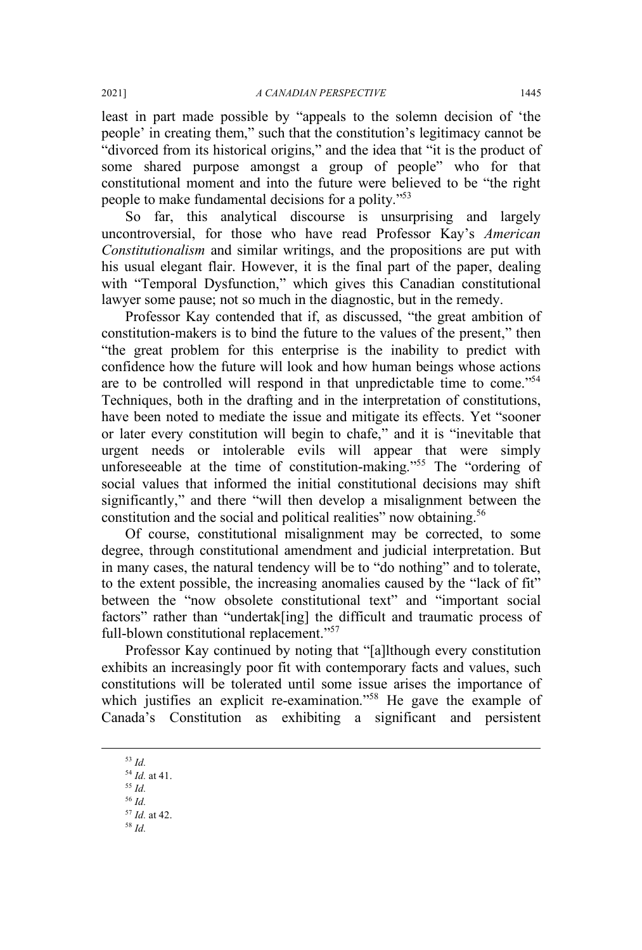least in part made possible by "appeals to the solemn decision of 'the people' in creating them," such that the constitution's legitimacy cannot be "divorced from its historical origins," and the idea that "it is the product of some shared purpose amongst a group of people" who for that constitutional moment and into the future were believed to be "the right people to make fundamental decisions for a polity."<sup>53</sup>

So far, this analytical discourse is unsurprising and largely uncontroversial, for those who have read Professor Kay's *American Constitutionalism* and similar writings, and the propositions are put with his usual elegant flair. However, it is the final part of the paper, dealing with "Temporal Dysfunction," which gives this Canadian constitutional lawyer some pause; not so much in the diagnostic, but in the remedy.

Professor Kay contended that if, as discussed, "the great ambition of constitution-makers is to bind the future to the values of the present," then "the great problem for this enterprise is the inability to predict with confidence how the future will look and how human beings whose actions are to be controlled will respond in that unpredictable time to come."54 Techniques, both in the drafting and in the interpretation of constitutions, have been noted to mediate the issue and mitigate its effects. Yet "sooner or later every constitution will begin to chafe," and it is "inevitable that urgent needs or intolerable evils will appear that were simply unforeseeable at the time of constitution-making."<sup>55</sup> The "ordering of social values that informed the initial constitutional decisions may shift significantly," and there "will then develop a misalignment between the constitution and the social and political realities" now obtaining.<sup>56</sup>

Of course, constitutional misalignment may be corrected, to some degree, through constitutional amendment and judicial interpretation. But in many cases, the natural tendency will be to "do nothing" and to tolerate, to the extent possible, the increasing anomalies caused by the "lack of fit" between the "now obsolete constitutional text" and "important social factors" rather than "undertak[ing] the difficult and traumatic process of full-blown constitutional replacement."<sup>57</sup>

Professor Kay continued by noting that "[a]lthough every constitution exhibits an increasingly poor fit with contemporary facts and values, such constitutions will be tolerated until some issue arises the importance of which justifies an explicit re-examination."<sup>58</sup> He gave the example of Canada's Constitution as exhibiting a significant and persistent

- <sup>55</sup> *Id.* <sup>56</sup> *Id.*
- <sup>57</sup> *Id.* at 42.
- <sup>58</sup> *Id.*

 <sup>53</sup> *Id.*

<sup>54</sup> *Id.* at 41.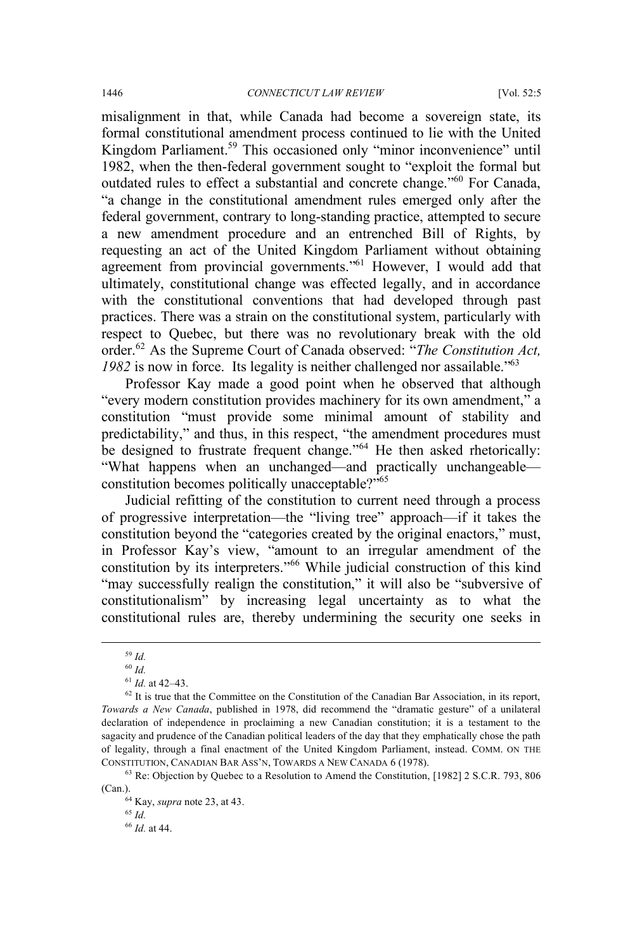misalignment in that, while Canada had become a sovereign state, its formal constitutional amendment process continued to lie with the United Kingdom Parliament.<sup>59</sup> This occasioned only "minor inconvenience" until 1982, when the then-federal government sought to "exploit the formal but outdated rules to effect a substantial and concrete change."60 For Canada, "a change in the constitutional amendment rules emerged only after the federal government, contrary to long-standing practice, attempted to secure a new amendment procedure and an entrenched Bill of Rights, by requesting an act of the United Kingdom Parliament without obtaining agreement from provincial governments."<sup>61</sup> However, I would add that ultimately, constitutional change was effected legally, and in accordance with the constitutional conventions that had developed through past practices. There was a strain on the constitutional system, particularly with respect to Quebec, but there was no revolutionary break with the old order.<sup>62</sup> As the Supreme Court of Canada observed: "*The Constitution Act, 1982* is now in force. Its legality is neither challenged nor assailable."63

Professor Kay made a good point when he observed that although "every modern constitution provides machinery for its own amendment," a constitution "must provide some minimal amount of stability and predictability," and thus, in this respect, "the amendment procedures must be designed to frustrate frequent change."<sup>64</sup> He then asked rhetorically: "What happens when an unchanged—and practically unchangeable constitution becomes politically unacceptable?"65

Judicial refitting of the constitution to current need through a process of progressive interpretation—the "living tree" approach—if it takes the constitution beyond the "categories created by the original enactors," must, in Professor Kay's view, "amount to an irregular amendment of the constitution by its interpreters."<sup>66</sup> While judicial construction of this kind "may successfully realign the constitution," it will also be "subversive of constitutionalism" by increasing legal uncertainty as to what the constitutional rules are, thereby undermining the security one seeks in

<sup>65</sup> *Id.*

 <sup>59</sup> *Id.*

<sup>60</sup> *Id.*

<sup>61</sup> *Id.* at 42–43.

<sup>&</sup>lt;sup>62</sup> It is true that the Committee on the Constitution of the Canadian Bar Association, in its report, *Towards a New Canada*, published in 1978, did recommend the "dramatic gesture" of a unilateral declaration of independence in proclaiming a new Canadian constitution; it is a testament to the sagacity and prudence of the Canadian political leaders of the day that they emphatically chose the path of legality, through a final enactment of the United Kingdom Parliament, instead. COMM. ON THE CONSTITUTION, CANADIAN BAR ASS'N, TOWARDS A NEW CANADA 6 (1978).

<sup>63</sup> Re: Objection by Quebec to a Resolution to Amend the Constitution, [1982] 2 S.C.R. 793, 806 (Can.). 64 Kay, *supra* note 23, at 43.

<sup>66</sup> *Id.* at 44.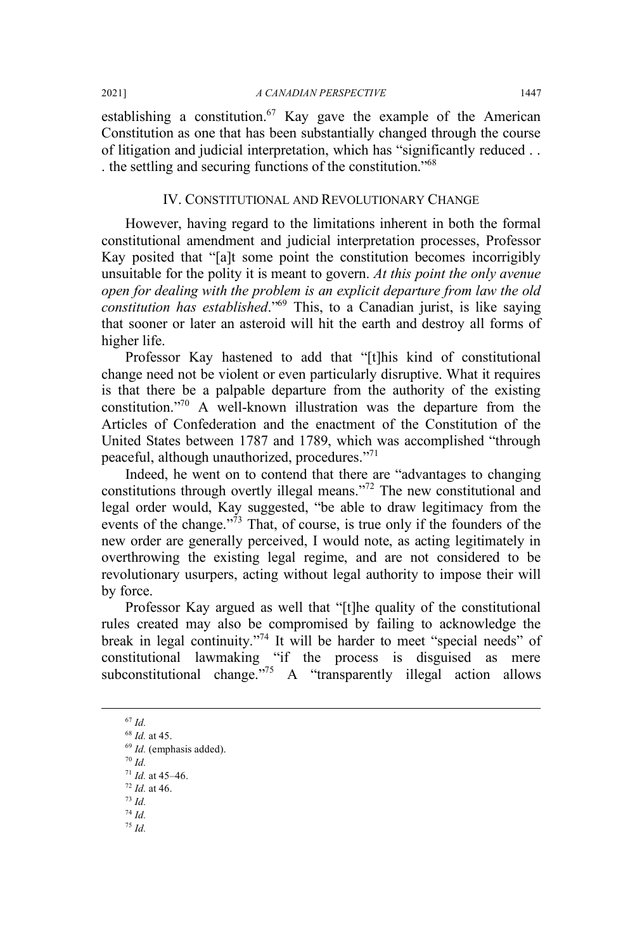establishing a constitution.<sup>67</sup> Kay gave the example of the American Constitution as one that has been substantially changed through the course of litigation and judicial interpretation, which has "significantly reduced . . . the settling and securing functions of the constitution."68

#### IV. CONSTITUTIONAL AND REVOLUTIONARY CHANGE

However, having regard to the limitations inherent in both the formal constitutional amendment and judicial interpretation processes, Professor Kay posited that "[a]t some point the constitution becomes incorrigibly unsuitable for the polity it is meant to govern. *At this point the only avenue open for dealing with the problem is an explicit departure from law the old constitution has established*."69 This, to a Canadian jurist, is like saying that sooner or later an asteroid will hit the earth and destroy all forms of higher life.

Professor Kay hastened to add that "[t]his kind of constitutional change need not be violent or even particularly disruptive. What it requires is that there be a palpable departure from the authority of the existing constitution."70 A well-known illustration was the departure from the Articles of Confederation and the enactment of the Constitution of the United States between 1787 and 1789, which was accomplished "through peaceful, although unauthorized, procedures."71

Indeed, he went on to contend that there are "advantages to changing constitutions through overtly illegal means."72 The new constitutional and legal order would, Kay suggested, "be able to draw legitimacy from the events of the change." $\frac{75}{3}$  That, of course, is true only if the founders of the new order are generally perceived, I would note, as acting legitimately in overthrowing the existing legal regime, and are not considered to be revolutionary usurpers, acting without legal authority to impose their will by force.

Professor Kay argued as well that "[t]he quality of the constitutional rules created may also be compromised by failing to acknowledge the break in legal continuity."74 It will be harder to meet "special needs" of constitutional lawmaking "if the process is disguised as mere subconstitutional change."<sup>75</sup> A "transparently illegal action allows

 67 *Id.* <sup>68</sup> *Id.* at 45. <sup>69</sup> *Id.* (emphasis added). <sup>70</sup> *Id.* <sup>71</sup> *Id.* at 45–46. <sup>72</sup> *Id.* at 46. <sup>73</sup> *Id.* <sup>74</sup> *Id.* <sup>75</sup> *Id.*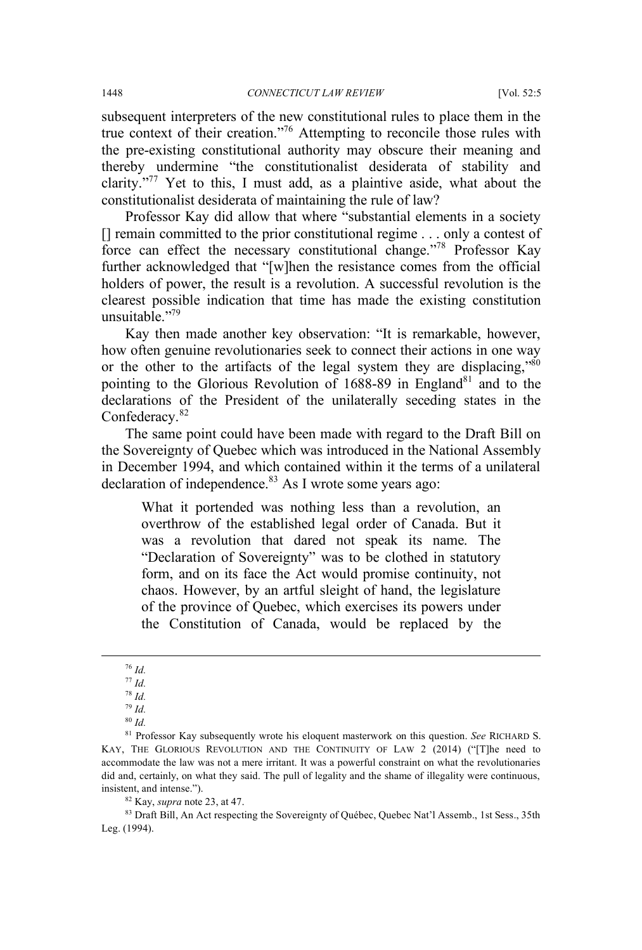subsequent interpreters of the new constitutional rules to place them in the true context of their creation."76 Attempting to reconcile those rules with the pre-existing constitutional authority may obscure their meaning and thereby undermine "the constitutionalist desiderata of stability and clarity."<sup>77</sup> Yet to this, I must add, as a plaintive aside, what about the constitutionalist desiderata of maintaining the rule of law?

Professor Kay did allow that where "substantial elements in a society [] remain committed to the prior constitutional regime . . . only a contest of force can effect the necessary constitutional change."78 Professor Kay further acknowledged that "[w]hen the resistance comes from the official holders of power, the result is a revolution. A successful revolution is the clearest possible indication that time has made the existing constitution unsuitable "79

Kay then made another key observation: "It is remarkable, however, how often genuine revolutionaries seek to connect their actions in one way or the other to the artifacts of the legal system they are displacing," $\frac{80}{10}$ pointing to the Glorious Revolution of  $1688-89$  in England<sup>81</sup> and to the declarations of the President of the unilaterally seceding states in the Confederacy.<sup>82</sup>

The same point could have been made with regard to the Draft Bill on the Sovereignty of Quebec which was introduced in the National Assembly in December 1994, and which contained within it the terms of a unilateral declaration of independence. $83$  As I wrote some years ago:

What it portended was nothing less than a revolution, an overthrow of the established legal order of Canada. But it was a revolution that dared not speak its name. The "Declaration of Sovereignty" was to be clothed in statutory form, and on its face the Act would promise continuity, not chaos. However, by an artful sleight of hand, the legislature of the province of Quebec, which exercises its powers under the Constitution of Canada, would be replaced by the

<sup>78</sup> *Id.* <sup>79</sup> *Id.*

<sup>83</sup> Draft Bill, An Act respecting the Sovereignty of Québec, Quebec Nat'l Assemb., 1st Sess., 35th Leg. (1994).

 <sup>76</sup> *Id.*

<sup>77</sup> *Id.*

<sup>80</sup> *Id.*

<sup>81</sup> Professor Kay subsequently wrote his eloquent masterwork on this question. *See* RICHARD S. KAY, THE GLORIOUS REVOLUTION AND THE CONTINUITY OF LAW 2 (2014) ("[T]he need to accommodate the law was not a mere irritant. It was a powerful constraint on what the revolutionaries did and, certainly, on what they said. The pull of legality and the shame of illegality were continuous, insistent, and intense."). 82 Kay, *supra* note 23, at 47.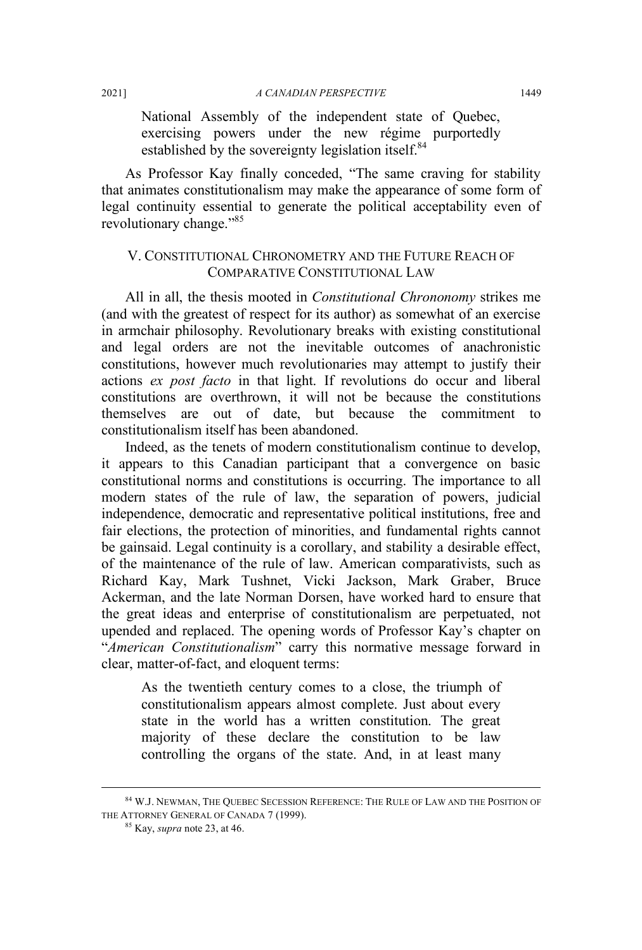National Assembly of the independent state of Quebec, exercising powers under the new régime purportedly established by the sovereignty legislation itself.<sup>84</sup>

As Professor Kay finally conceded, "The same craving for stability that animates constitutionalism may make the appearance of some form of legal continuity essential to generate the political acceptability even of revolutionary change."<sup>85</sup>

#### V. CONSTITUTIONAL CHRONOMETRY AND THE FUTURE REACH OF COMPARATIVE CONSTITUTIONAL LAW

All in all, the thesis mooted in *Constitutional Chrononomy* strikes me (and with the greatest of respect for its author) as somewhat of an exercise in armchair philosophy. Revolutionary breaks with existing constitutional and legal orders are not the inevitable outcomes of anachronistic constitutions, however much revolutionaries may attempt to justify their actions *ex post facto* in that light. If revolutions do occur and liberal constitutions are overthrown, it will not be because the constitutions themselves are out of date, but because the commitment to constitutionalism itself has been abandoned.

Indeed, as the tenets of modern constitutionalism continue to develop, it appears to this Canadian participant that a convergence on basic constitutional norms and constitutions is occurring. The importance to all modern states of the rule of law, the separation of powers, judicial independence, democratic and representative political institutions, free and fair elections, the protection of minorities, and fundamental rights cannot be gainsaid. Legal continuity is a corollary, and stability a desirable effect, of the maintenance of the rule of law. American comparativists, such as Richard Kay, Mark Tushnet, Vicki Jackson, Mark Graber, Bruce Ackerman, and the late Norman Dorsen, have worked hard to ensure that the great ideas and enterprise of constitutionalism are perpetuated, not upended and replaced. The opening words of Professor Kay's chapter on "*American Constitutionalism*" carry this normative message forward in clear, matter-of-fact, and eloquent terms:

As the twentieth century comes to a close, the triumph of constitutionalism appears almost complete. Just about every state in the world has a written constitution. The great majority of these declare the constitution to be law controlling the organs of the state. And, in at least many

 <sup>84</sup> W.J. NEWMAN, THE QUEBEC SECESSION REFERENCE: THE RULE OF LAW AND THE POSITION OF THE ATTORNEY GENERAL OF CANADA 7 (1999).

<sup>85</sup> Kay, *supra* note 23, at 46.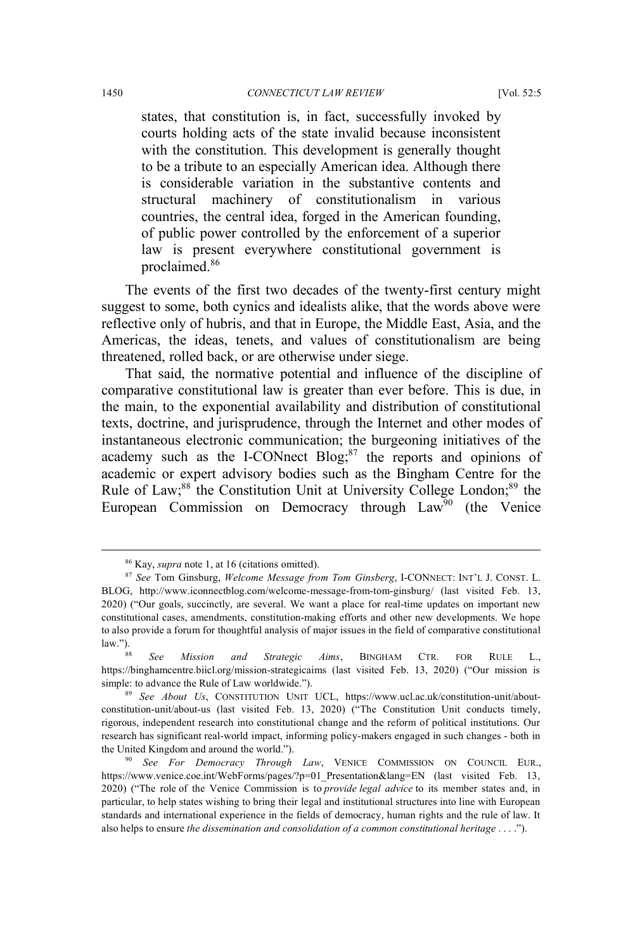states, that constitution is, in fact, successfully invoked by courts holding acts of the state invalid because inconsistent with the constitution. This development is generally thought to be a tribute to an especially American idea. Although there is considerable variation in the substantive contents and structural machinery of constitutionalism in various countries, the central idea, forged in the American founding, of public power controlled by the enforcement of a superior law is present everywhere constitutional government is proclaimed.<sup>86</sup>

The events of the first two decades of the twenty-first century might suggest to some, both cynics and idealists alike, that the words above were reflective only of hubris, and that in Europe, the Middle East, Asia, and the Americas, the ideas, tenets, and values of constitutionalism are being threatened, rolled back, or are otherwise under siege.

That said, the normative potential and influence of the discipline of comparative constitutional law is greater than ever before. This is due, in the main, to the exponential availability and distribution of constitutional texts, doctrine, and jurisprudence, through the Internet and other modes of instantaneous electronic communication; the burgeoning initiatives of the academy such as the I-CONnect Blog;<sup>87</sup> the reports and opinions of academic or expert advisory bodies such as the Bingham Centre for the Rule of Law;<sup>88</sup> the Constitution Unit at University College London;<sup>89</sup> the European Commission on Democracy through  $Law<sup>90</sup>$  (the Venice

 <sup>86</sup> Kay, *supra* note 1, at 16 (citations omitted).

<sup>87</sup> *See* Tom Ginsburg, *Welcome Message from Tom Ginsberg*, I-CONNECT: INT'L J. CONST. L. BLOG, http://www.iconnectblog.com/welcome-message-from-tom-ginsburg/ (last visited Feb. 13, 2020) ("Our goals, succinctly, are several. We want a place for real-time updates on important new constitutional cases, amendments, constitution-making efforts and other new developments. We hope to also provide a forum for thoughtful analysis of major issues in the field of comparative constitutional

law.").88 *See Mission and Strategic Aims*, BINGHAM CTR. FOR RULE L., https://binghamcentre.biicl.org/mission-strategicaims (last visited Feb. 13, 2020) ("Our mission is simple: to advance the Rule of Law worldwide.").

<sup>89</sup> *See About Us*, CONSTITUTION UNIT UCL, https://www.ucl.ac.uk/constitution-unit/aboutconstitution-unit/about-us (last visited Feb. 13, 2020) ("The Constitution Unit conducts timely, rigorous, independent research into constitutional change and the reform of political institutions. Our research has significant real-world impact, informing policy-makers engaged in such changes - both in the United Kingdom and around the world.").

<sup>90</sup> *See For Democracy Through Law*, VENICE COMMISSION ON COUNCIL EUR., https://www.venice.coe.int/WebForms/pages/?p=01 Presentation&lang=EN (last visited Feb. 13, 2020) ("The role of the Venice Commission is to *provide legal advice* to its member states and, in particular, to help states wishing to bring their legal and institutional structures into line with European standards and international experience in the fields of democracy, human rights and the rule of law. It also helps to ensure *the dissemination and consolidation of a common constitutional heritage* . . . .").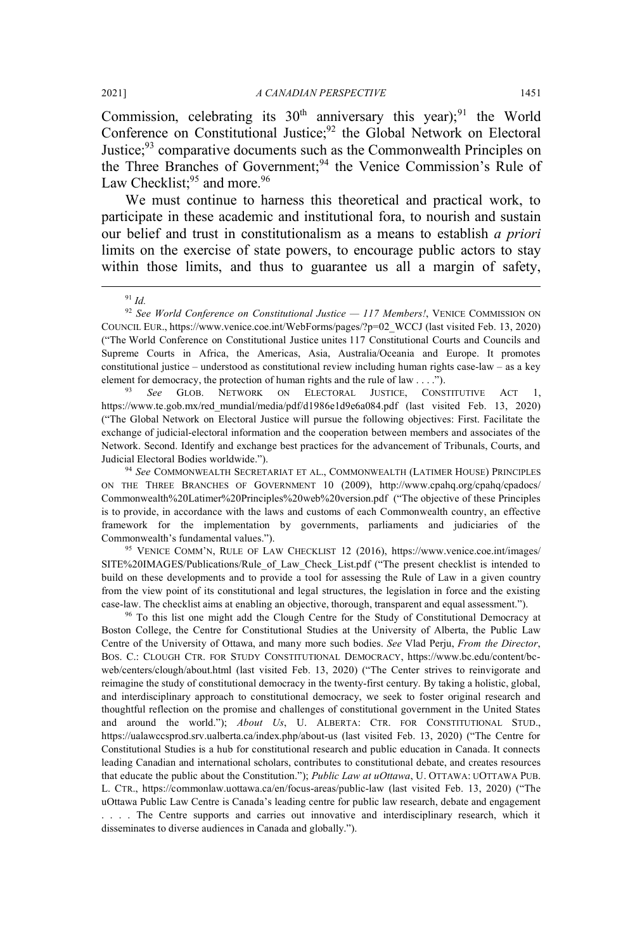Commission, celebrating its  $30<sup>th</sup>$  anniversary this year);<sup>91</sup> the World Conference on Constitutional Justice;<sup>92</sup> the Global Network on Electoral Justice;<sup>93</sup> comparative documents such as the Commonwealth Principles on the Three Branches of Government;<sup>94</sup> the Venice Commission's Rule of Law Checklist;<sup>95</sup> and more.<sup>96</sup>

We must continue to harness this theoretical and practical work, to participate in these academic and institutional fora, to nourish and sustain our belief and trust in constitutionalism as a means to establish *a priori*  limits on the exercise of state powers, to encourage public actors to stay within those limits, and thus to guarantee us all a margin of safety,

<sup>93</sup> *See* GLOB. NETWORK ON ELECTORAL JUSTICE, CONSTITUTIVE ACT 1, https://www.te.gob.mx/red\_mundial/media/pdf/d1986e1d9e6a084.pdf (last visited Feb. 13, 2020) ("The Global Network on Electoral Justice will pursue the following objectives: First. Facilitate the exchange of judicial-electoral information and the cooperation between members and associates of the Network. Second. Identify and exchange best practices for the advancement of Tribunals, Courts, and Judicial Electoral Bodies worldwide.").

<sup>95</sup> VENICE COMM'N, RULE OF LAW CHECKLIST 12 (2016), https://www.venice.coe.int/images/ SITE%20IMAGES/Publications/Rule\_of\_Law\_Check\_List.pdf ("The present checklist is intended to build on these developments and to provide a tool for assessing the Rule of Law in a given country from the view point of its constitutional and legal structures, the legislation in force and the existing case-law. The checklist aims at enabling an objective, thorough, transparent and equal assessment.").

<sup>96</sup> To this list one might add the Clough Centre for the Study of Constitutional Democracy at Boston College, the Centre for Constitutional Studies at the University of Alberta, the Public Law Centre of the University of Ottawa, and many more such bodies. *See* Vlad Perju, *From the Director*, BOS. C.: CLOUGH CTR. FOR STUDY CONSTITUTIONAL DEMOCRACY, https://www.bc.edu/content/bcweb/centers/clough/about.html (last visited Feb. 13, 2020) ("The Center strives to reinvigorate and reimagine the study of constitutional democracy in the twenty-first century. By taking a holistic, global, and interdisciplinary approach to constitutional democracy, we seek to foster original research and thoughtful reflection on the promise and challenges of constitutional government in the United States and around the world."); *About Us*, U. ALBERTA: CTR. FOR CONSTITUTIONAL STUD., https://ualawccsprod.srv.ualberta.ca/index.php/about-us (last visited Feb. 13, 2020) ("The Centre for Constitutional Studies is a hub for constitutional research and public education in Canada. It connects leading Canadian and international scholars, contributes to constitutional debate, and creates resources that educate the public about the Constitution."); *Public Law at uOttawa*, U. OTTAWA: UOTTAWA PUB. L. CTR., https://commonlaw.uottawa.ca/en/focus-areas/public-law (last visited Feb. 13, 2020) ("The uOttawa Public Law Centre is Canada's leading centre for public law research, debate and engagement . . . . The Centre supports and carries out innovative and interdisciplinary research, which it disseminates to diverse audiences in Canada and globally.").

 <sup>91</sup> *Id.*

<sup>92</sup> *See World Conference on Constitutional Justice — 117 Members!*, VENICE COMMISSION ON COUNCIL EUR., https://www.venice.coe.int/WebForms/pages/?p=02\_WCCJ (last visited Feb. 13, 2020) ("The World Conference on Constitutional Justice unites 117 Constitutional Courts and Councils and Supreme Courts in Africa, the Americas, Asia, Australia/Oceania and Europe. It promotes constitutional justice – understood as constitutional review including human rights case-law – as a key element for democracy, the protection of human rights and the rule of law . . . .").

<sup>94</sup> *See* COMMONWEALTH SECRETARIAT ET AL., COMMONWEALTH (LATIMER HOUSE) PRINCIPLES ON THE THREE BRANCHES OF GOVERNMENT 10 (2009), http://www.cpahq.org/cpahq/cpadocs/ Commonwealth%20Latimer%20Principles%20web%20version.pdf ("The objective of these Principles is to provide, in accordance with the laws and customs of each Commonwealth country, an effective framework for the implementation by governments, parliaments and judiciaries of the Commonwealth's fundamental values.").